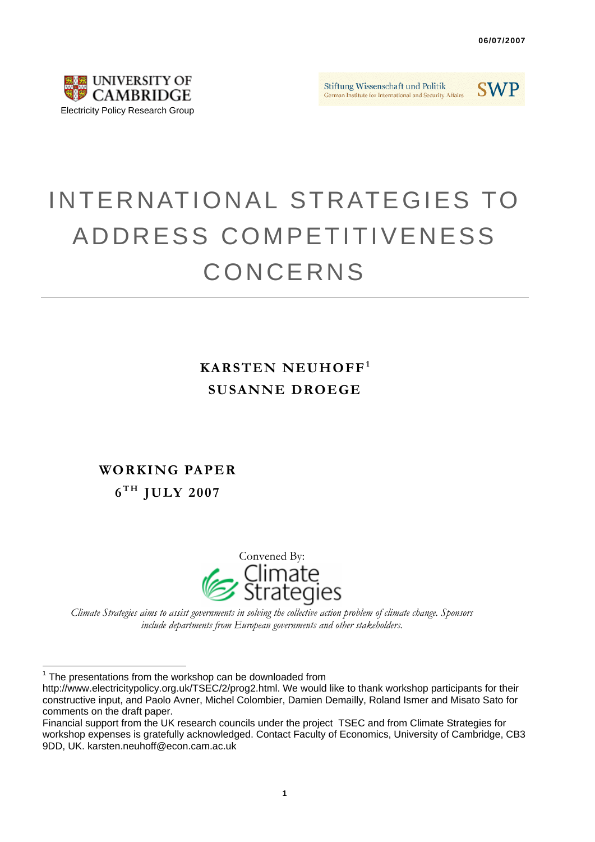

Stiftung Wissenschaft und Politik German Institute for International and Security Affairs



# INTERNATIONAL STRATEGIES TO ADDRESS COMPETITIVENESS **CONCERNS**

# **KARSTEN NEUHOFF[1](#page-0-0) SUSANNE DROEGE**

**WORKING PAPER**   $6^{TH}$  JULY 2007



*Climate Strategies aims to assist governments in solving the collective action problem of climate change. Sponsors include departments from European governments and other stakeholders.* 

 $1$  The presentations from the workshop can be downloaded from

<span id="page-0-0"></span>http://www.electricitypolicy.org.uk/TSEC/2/prog2.html. We would like to thank workshop participants for their constructive input, and Paolo Avner, Michel Colombier, Damien Demailly, Roland Ismer and Misato Sato for comments on the draft paper.

Financial support from the UK research councils under the project TSEC and from Climate Strategies for workshop expenses is gratefully acknowledged. Contact Faculty of Economics, University of Cambridge, CB3 9DD, UK. karsten.neuhoff@econ.cam.ac.uk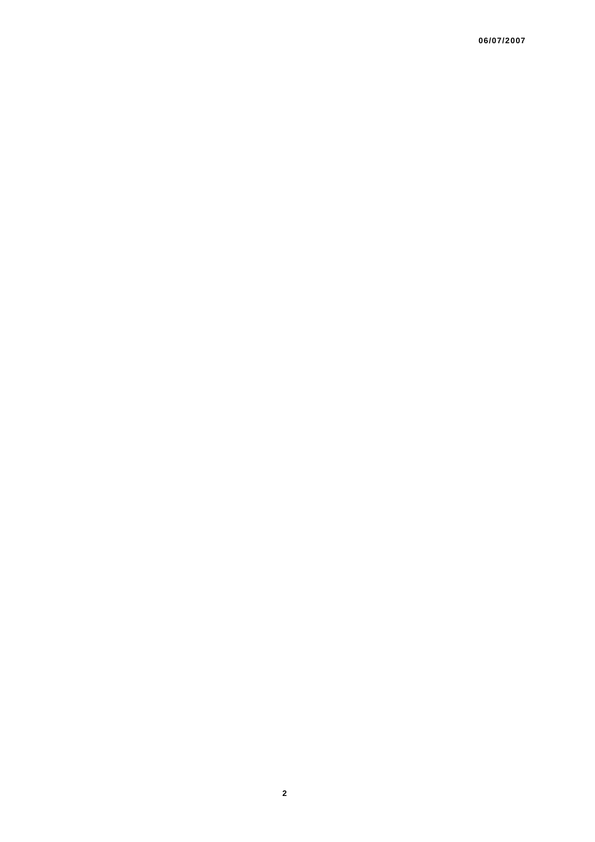**06/07/2007**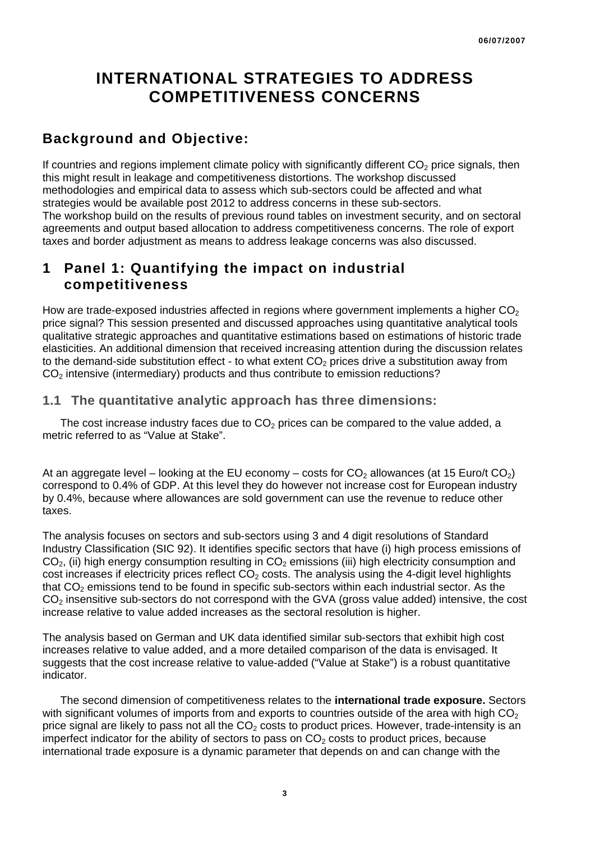# **INTERNATIONAL STRATEGIES TO ADDRESS COMPETITIVENESS CONCERNS**

# **Background and Objective:**

If countries and regions implement climate policy with significantly different  $CO<sub>2</sub>$  price signals, then this might result in leakage and competitiveness distortions. The workshop discussed methodologies and empirical data to assess which sub-sectors could be affected and what strategies would be available post 2012 to address concerns in these sub-sectors. The workshop build on the results of previous round tables on investment security, and on sectoral agreements and output based allocation to address competitiveness concerns. The role of export taxes and border adjustment as means to address leakage concerns was also discussed.

# **1 Panel 1: Quantifying the impact on industrial competitiveness**

How are trade-exposed industries affected in regions where government implements a higher  $CO<sub>2</sub>$ price signal? This session presented and discussed approaches using quantitative analytical tools qualitative strategic approaches and quantitative estimations based on estimations of historic trade elasticities. An additional dimension that received increasing attention during the discussion relates to the demand-side substitution effect - to what extent  $CO<sub>2</sub>$  prices drive a substitution away from CO<sub>2</sub> intensive (intermediary) products and thus contribute to emission reductions?

#### **1.1 The quantitative analytic approach has three dimensions:**

The cost increase industry faces due to  $CO<sub>2</sub>$  prices can be compared to the value added, a metric referred to as "Value at Stake".

At an aggregate level – looking at the EU economy – costs for  $CO<sub>2</sub>$  allowances (at 15 Euro/t  $CO<sub>2</sub>$ ) correspond to 0.4% of GDP. At this level they do however not increase cost for European industry by 0.4%, because where allowances are sold government can use the revenue to reduce other taxes.

The analysis focuses on sectors and sub-sectors using 3 and 4 digit resolutions of Standard Industry Classification (SIC 92). It identifies specific sectors that have (i) high process emissions of  $CO<sub>2</sub>$ , (ii) high energy consumption resulting in  $CO<sub>2</sub>$  emissions (iii) high electricity consumption and cost increases if electricity prices reflect  $CO<sub>2</sub>$  costs. The analysis using the 4-digit level highlights that  $CO<sub>2</sub>$  emissions tend to be found in specific sub-sectors within each industrial sector. As the  $CO<sub>2</sub>$  insensitive sub-sectors do not correspond with the GVA (gross value added) intensive, the cost increase relative to value added increases as the sectoral resolution is higher.

The analysis based on German and UK data identified similar sub-sectors that exhibit high cost increases relative to value added, and a more detailed comparison of the data is envisaged. It suggests that the cost increase relative to value-added ("Value at Stake") is a robust quantitative indicator.

The second dimension of competitiveness relates to the **international trade exposure.** Sectors with significant volumes of imports from and exports to countries outside of the area with high  $CO<sub>2</sub>$ price signal are likely to pass not all the  $CO<sub>2</sub>$  costs to product prices. However, trade-intensity is an imperfect indicator for the ability of sectors to pass on  $CO<sub>2</sub>$  costs to product prices, because international trade exposure is a dynamic parameter that depends on and can change with the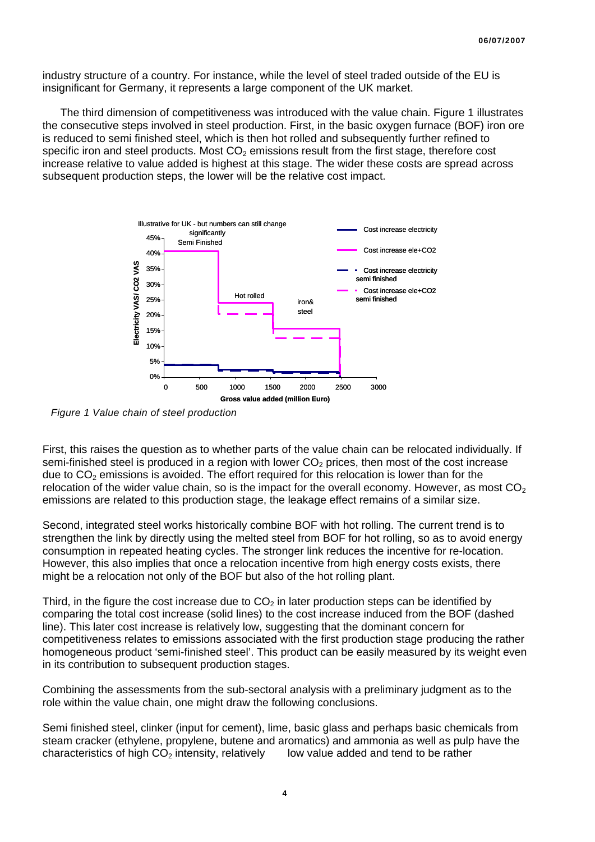industry structure of a country. For instance, while the level of steel traded outside of the EU is insignificant for Germany, it represents a large component of the UK market.

The third dimension of competitiveness was introduced with the value chain. [Figure 1](#page-3-0) illustrates the consecutive steps involved in steel production. First, in the basic oxygen furnace (BOF) iron ore is reduced to semi finished steel, which is then hot rolled and subsequently further refined to specific iron and steel products. Most  $CO<sub>2</sub>$  emissions result from the first stage, therefore cost increase relative to value added is highest at this stage. The wider these costs are spread across subsequent production steps, the lower will be the relative cost impact.



<span id="page-3-0"></span>*Figure 1 Value chain of steel production* 

First, this raises the question as to whether parts of the value chain can be relocated individually. If semi-finished steel is produced in a region with lower  $CO<sub>2</sub>$  prices, then most of the cost increase due to  $CO<sub>2</sub>$  emissions is avoided. The effort required for this relocation is lower than for the relocation of the wider value chain, so is the impact for the overall economy. However, as most  $CO<sub>2</sub>$ emissions are related to this production stage, the leakage effect remains of a similar size.

Second, integrated steel works historically combine BOF with hot rolling. The current trend is to strengthen the link by directly using the melted steel from BOF for hot rolling, so as to avoid energy consumption in repeated heating cycles. The stronger link reduces the incentive for re-location. However, this also implies that once a relocation incentive from high energy costs exists, there might be a relocation not only of the BOF but also of the hot rolling plant.

Third, in the figure the cost increase due to  $CO<sub>2</sub>$  in later production steps can be identified by comparing the total cost increase (solid lines) to the cost increase induced from the BOF (dashed line). This later cost increase is relatively low, suggesting that the dominant concern for competitiveness relates to emissions associated with the first production stage producing the rather homogeneous product 'semi-finished steel'. This product can be easily measured by its weight even in its contribution to subsequent production stages.

Combining the assessments from the sub-sectoral analysis with a preliminary judgment as to the role within the value chain, one might draw the following conclusions.

Semi finished steel, clinker (input for cement), lime, basic glass and perhaps basic chemicals from steam cracker (ethylene, propylene, butene and aromatics) and ammonia as well as pulp have the characteristics of high  $CO<sub>2</sub>$  intensity, relatively low value added and tend to be rather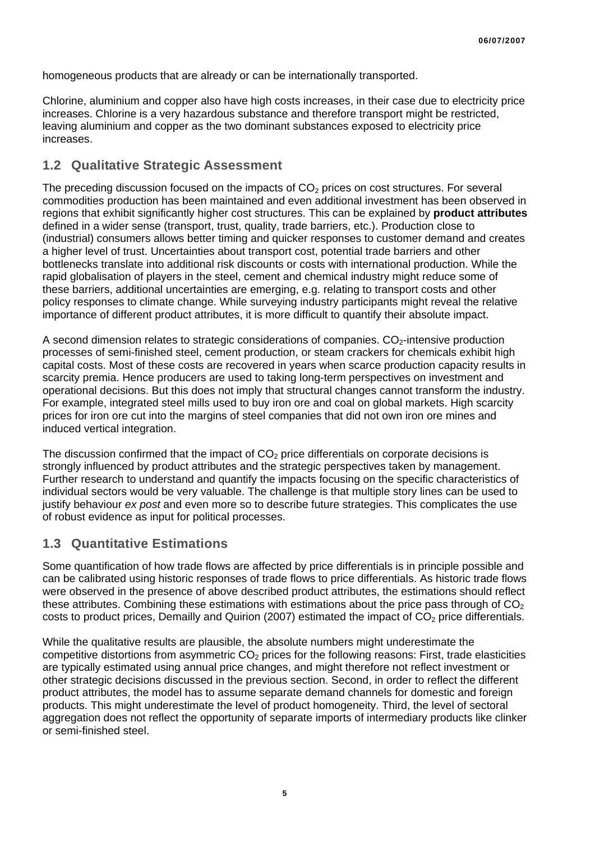homogeneous products that are already or can be internationally transported.

Chlorine, aluminium and copper also have high costs increases, in their case due to electricity price increases. Chlorine is a very hazardous substance and therefore transport might be restricted, leaving aluminium and copper as the two dominant substances exposed to electricity price increases.

## **1.2 Qualitative Strategic Assessment**

The preceding discussion focused on the impacts of  $CO<sub>2</sub>$  prices on cost structures. For several commodities production has been maintained and even additional investment has been observed in regions that exhibit significantly higher cost structures. This can be explained by **product attributes**  defined in a wider sense (transport, trust, quality, trade barriers, etc.). Production close to (industrial) consumers allows better timing and quicker responses to customer demand and creates a higher level of trust. Uncertainties about transport cost, potential trade barriers and other bottlenecks translate into additional risk discounts or costs with international production. While the rapid globalisation of players in the steel, cement and chemical industry might reduce some of these barriers, additional uncertainties are emerging, e.g. relating to transport costs and other policy responses to climate change. While surveying industry participants might reveal the relative importance of different product attributes, it is more difficult to quantify their absolute impact.

A second dimension relates to strategic considerations of companies.  $CO<sub>2</sub>$ -intensive production processes of semi-finished steel, cement production, or steam crackers for chemicals exhibit high capital costs. Most of these costs are recovered in years when scarce production capacity results in scarcity premia. Hence producers are used to taking long-term perspectives on investment and operational decisions. But this does not imply that structural changes cannot transform the industry. For example, integrated steel mills used to buy iron ore and coal on global markets. High scarcity prices for iron ore cut into the margins of steel companies that did not own iron ore mines and induced vertical integration.

The discussion confirmed that the impact of  $CO<sub>2</sub>$  price differentials on corporate decisions is strongly influenced by product attributes and the strategic perspectives taken by management. Further research to understand and quantify the impacts focusing on the specific characteristics of individual sectors would be very valuable. The challenge is that multiple story lines can be used to justify behaviour *ex post* and even more so to describe future strategies. This complicates the use of robust evidence as input for political processes.

## **1.3 Quantitative Estimations**

Some quantification of how trade flows are affected by price differentials is in principle possible and can be calibrated using historic responses of trade flows to price differentials. As historic trade flows were observed in the presence of above described product attributes, the estimations should reflect these attributes. Combining these estimations with estimations about the price pass through of  $CO<sub>2</sub>$ costs to product prices, Demailly and Quirion (2007) estimated the impact of  $CO<sub>2</sub>$  price differentials.

While the qualitative results are plausible, the absolute numbers might underestimate the competitive distortions from asymmetric  $CO<sub>2</sub>$  prices for the following reasons: First, trade elasticities are typically estimated using annual price changes, and might therefore not reflect investment or other strategic decisions discussed in the previous section. Second, in order to reflect the different product attributes, the model has to assume separate demand channels for domestic and foreign products. This might underestimate the level of product homogeneity. Third, the level of sectoral aggregation does not reflect the opportunity of separate imports of intermediary products like clinker or semi-finished steel.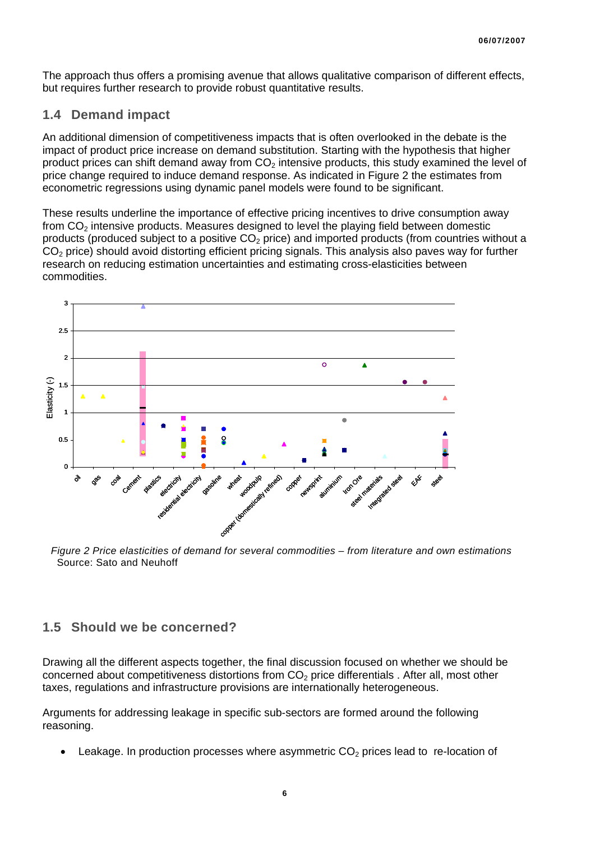The approach thus offers a promising avenue that allows qualitative comparison of different effects, but requires further research to provide robust quantitative results.

## **1.4 Demand impact**

An additional dimension of competitiveness impacts that is often overlooked in the debate is the impact of product price increase on demand substitution. Starting with the hypothesis that higher product prices can shift demand away from  $CO<sub>2</sub>$  intensive products, this study examined the level of price change required to induce demand response. As indicated in [Figure 2](#page-5-0) the estimates from econometric regressions using dynamic panel models were found to be significant.

These results underline the importance of effective pricing incentives to drive consumption away from CO<sub>2</sub> intensive products. Measures designed to level the playing field between domestic products (produced subject to a positive  $CO<sub>2</sub>$  price) and imported products (from countries without a CO<sub>2</sub> price) should avoid distorting efficient pricing signals. This analysis also paves way for further research on reducing estimation uncertainties and estimating cross-elasticities between commodities.



<span id="page-5-0"></span>*Figure 2 Price elasticities of demand for several commodities – from literature and own estimations*  Source: Sato and Neuhoff

## **1.5 Should we be concerned?**

Drawing all the different aspects together, the final discussion focused on whether we should be concerned about competitiveness distortions from CO<sub>2</sub> price differentials . After all, most other taxes, regulations and infrastructure provisions are internationally heterogeneous.

Arguments for addressing leakage in specific sub-sectors are formed around the following reasoning.

Leakage. In production processes where asymmetric  $CO<sub>2</sub>$  prices lead to re-location of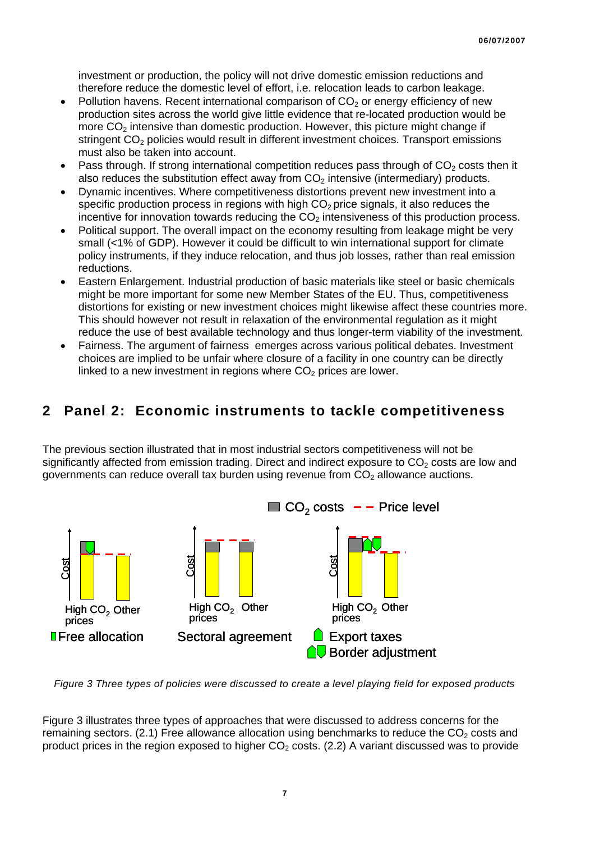investment or production, the policy will not drive domestic emission reductions and therefore reduce the domestic level of effort, i.e. relocation leads to carbon leakage.

- Pollution havens. Recent international comparison of  $CO<sub>2</sub>$  or energy efficiency of new production sites across the world give little evidence that re-located production would be more  $CO<sub>2</sub>$  intensive than domestic production. However, this picture might change if stringent  $CO<sub>2</sub>$  policies would result in different investment choices. Transport emissions must also be taken into account.
- Pass through. If strong international competition reduces pass through of  $CO<sub>2</sub>$  costs then it also reduces the substitution effect away from  $CO<sub>2</sub>$  intensive (intermediary) products.
- Dynamic incentives. Where competitiveness distortions prevent new investment into a specific production process in regions with high  $CO<sub>2</sub>$  price signals, it also reduces the incentive for innovation towards reducing the  $CO<sub>2</sub>$  intensiveness of this production process.
- Political support. The overall impact on the economy resulting from leakage might be very small (<1% of GDP). However it could be difficult to win international support for climate policy instruments, if they induce relocation, and thus job losses, rather than real emission reductions.
- Eastern Enlargement. Industrial production of basic materials like steel or basic chemicals might be more important for some new Member States of the EU. Thus, competitiveness distortions for existing or new investment choices might likewise affect these countries more. This should however not result in relaxation of the environmental regulation as it might reduce the use of best available technology and thus longer-term viability of the investment.
- Fairness. The argument of fairness emerges across various political debates. Investment choices are implied to be unfair where closure of a facility in one country can be directly linked to a new investment in regions where  $CO<sub>2</sub>$  prices are lower.

# **2 Panel 2: Economic instruments to tackle competitiveness**

The previous section illustrated that in most industrial sectors competitiveness will not be significantly affected from emission trading. Direct and indirect exposure to  $CO<sub>2</sub>$  costs are low and governments can reduce overall tax burden using revenue from  $CO<sub>2</sub>$  allowance auctions.



 *Figure 3 Three types of policies were discussed to create a level playing field for exposed products* 

Figure 3 illustrates three types of approaches that were discussed to address concerns for the remaining sectors. (2.1) Free allowance allocation using benchmarks to reduce the  $CO<sub>2</sub>$  costs and product prices in the region exposed to higher  $CO<sub>2</sub>$  costs. (2.2) A variant discussed was to provide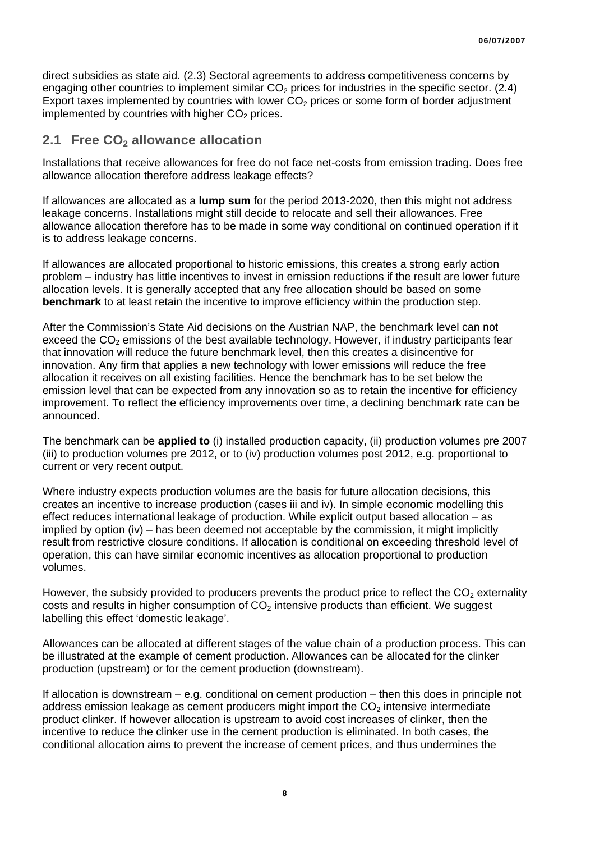direct subsidies as state aid. (2.3) Sectoral agreements to address competitiveness concerns by engaging other countries to implement similar  $CO<sub>2</sub>$  prices for industries in the specific sector. (2.4) Export taxes implemented by countries with lower  $CO<sub>2</sub>$  prices or some form of border adjustment implemented by countries with higher  $CO<sub>2</sub>$  prices.

## **2.1 Free CO<sub>2</sub> allowance allocation**

Installations that receive allowances for free do not face net-costs from emission trading. Does free allowance allocation therefore address leakage effects?

If allowances are allocated as a **lump sum** for the period 2013-2020, then this might not address leakage concerns. Installations might still decide to relocate and sell their allowances. Free allowance allocation therefore has to be made in some way conditional on continued operation if it is to address leakage concerns.

If allowances are allocated proportional to historic emissions, this creates a strong early action problem – industry has little incentives to invest in emission reductions if the result are lower future allocation levels. It is generally accepted that any free allocation should be based on some **benchmark** to at least retain the incentive to improve efficiency within the production step.

After the Commission's State Aid decisions on the Austrian NAP, the benchmark level can not exceed the  $CO<sub>2</sub>$  emissions of the best available technology. However, if industry participants fear that innovation will reduce the future benchmark level, then this creates a disincentive for innovation. Any firm that applies a new technology with lower emissions will reduce the free allocation it receives on all existing facilities. Hence the benchmark has to be set below the emission level that can be expected from any innovation so as to retain the incentive for efficiency improvement. To reflect the efficiency improvements over time, a declining benchmark rate can be announced.

The benchmark can be **applied to** (i) installed production capacity, (ii) production volumes pre 2007 (iii) to production volumes pre 2012, or to (iv) production volumes post 2012, e.g. proportional to current or very recent output.

Where industry expects production volumes are the basis for future allocation decisions, this creates an incentive to increase production (cases iii and iv). In simple economic modelling this effect reduces international leakage of production. While explicit output based allocation – as implied by option (iv) – has been deemed not acceptable by the commission, it might implicitly result from restrictive closure conditions. If allocation is conditional on exceeding threshold level of operation, this can have similar economic incentives as allocation proportional to production volumes.

However, the subsidy provided to producers prevents the product price to reflect the  $CO<sub>2</sub>$  externality costs and results in higher consumption of  $CO<sub>2</sub>$  intensive products than efficient. We suggest labelling this effect 'domestic leakage'.

Allowances can be allocated at different stages of the value chain of a production process. This can be illustrated at the example of cement production. Allowances can be allocated for the clinker production (upstream) or for the cement production (downstream).

If allocation is downstream – e.g. conditional on cement production – then this does in principle not address emission leakage as cement producers might import the  $CO<sub>2</sub>$  intensive intermediate product clinker. If however allocation is upstream to avoid cost increases of clinker, then the incentive to reduce the clinker use in the cement production is eliminated. In both cases, the conditional allocation aims to prevent the increase of cement prices, and thus undermines the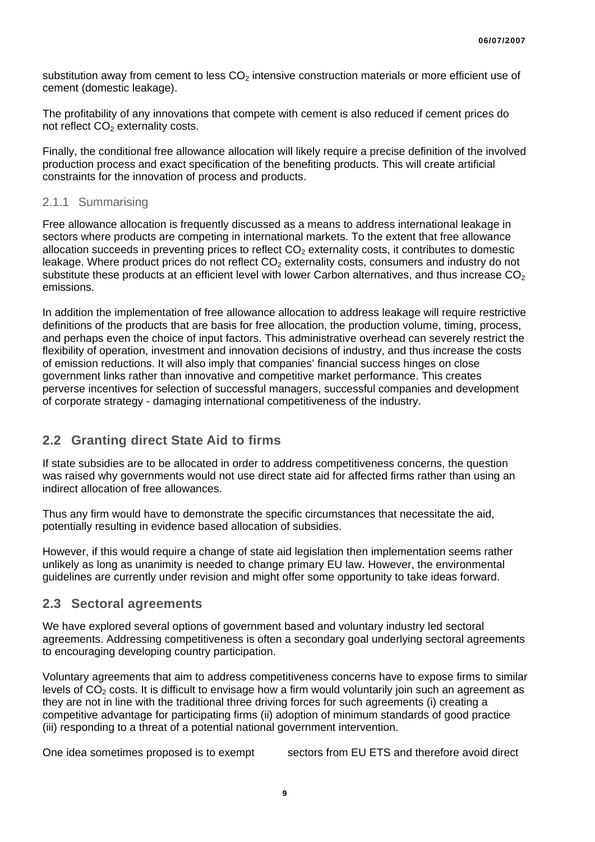substitution away from cement to less CO<sub>2</sub> intensive construction materials or more efficient use of cement (domestic leakage).

The profitability of any innovations that compete with cement is also reduced if cement prices do not reflect  $CO<sub>2</sub>$  externality costs.

Finally, the conditional free allowance allocation will likely require a precise definition of the involved production process and exact specification of the benefiting products. This will create artificial constraints for the innovation of process and products.

#### 2.1.1 Summarising

Free allowance allocation is frequently discussed as a means to address international leakage in sectors where products are competing in international markets. To the extent that free allowance allocation succeeds in preventing prices to reflect  $CO<sub>2</sub>$  externality costs, it contributes to domestic leakage. Where product prices do not reflect  $CO<sub>2</sub>$  externality costs, consumers and industry do not substitute these products at an efficient level with lower Carbon alternatives, and thus increase  $CO<sub>2</sub>$ emissions.

In addition the implementation of free allowance allocation to address leakage will require restrictive definitions of the products that are basis for free allocation, the production volume, timing, process, and perhaps even the choice of input factors. This administrative overhead can severely restrict the flexibility of operation, investment and innovation decisions of industry, and thus increase the costs of emission reductions. It will also imply that companies' financial success hinges on close government links rather than innovative and competitive market performance. This creates perverse incentives for selection of successful managers, successful companies and development of corporate strategy - damaging international competitiveness of the industry.

### **2.2 Granting direct State Aid to firms**

If state subsidies are to be allocated in order to address competitiveness concerns, the question was raised why governments would not use direct state aid for affected firms rather than using an indirect allocation of free allowances.

Thus any firm would have to demonstrate the specific circumstances that necessitate the aid, potentially resulting in evidence based allocation of subsidies.

However, if this would require a change of state aid legislation then implementation seems rather unlikely as long as unanimity is needed to change primary EU law. However, the environmental guidelines are currently under revision and might offer some opportunity to take ideas forward.

#### **2.3 Sectoral agreements**

We have explored several options of government based and voluntary industry led sectoral agreements. Addressing competitiveness is often a secondary goal underlying sectoral agreements to encouraging developing country participation.

Voluntary agreements that aim to address competitiveness concerns have to expose firms to similar levels of  $CO<sub>2</sub>$  costs. It is difficult to envisage how a firm would voluntarily join such an agreement as they are not in line with the traditional three driving forces for such agreements (i) creating a competitive advantage for participating firms (ii) adoption of minimum standards of good practice (iii) responding to a threat of a potential national government intervention.

One idea sometimes proposed is to exempt sectors from EU ETS and therefore avoid direct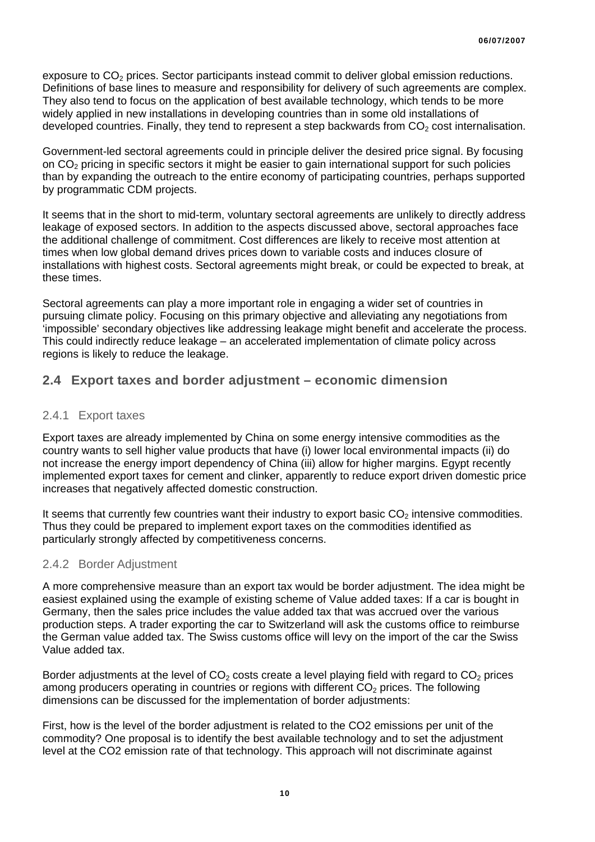exposure to CO<sub>2</sub> prices. Sector participants instead commit to deliver global emission reductions. Definitions of base lines to measure and responsibility for delivery of such agreements are complex. They also tend to focus on the application of best available technology, which tends to be more widely applied in new installations in developing countries than in some old installations of developed countries. Finally, they tend to represent a step backwards from  $CO<sub>2</sub>$  cost internalisation.

Government-led sectoral agreements could in principle deliver the desired price signal. By focusing on  $CO<sub>2</sub>$  pricing in specific sectors it might be easier to gain international support for such policies than by expanding the outreach to the entire economy of participating countries, perhaps supported by programmatic CDM projects.

It seems that in the short to mid-term, voluntary sectoral agreements are unlikely to directly address leakage of exposed sectors. In addition to the aspects discussed above, sectoral approaches face the additional challenge of commitment. Cost differences are likely to receive most attention at times when low global demand drives prices down to variable costs and induces closure of installations with highest costs. Sectoral agreements might break, or could be expected to break, at these times.

Sectoral agreements can play a more important role in engaging a wider set of countries in pursuing climate policy. Focusing on this primary objective and alleviating any negotiations from 'impossible' secondary objectives like addressing leakage might benefit and accelerate the process. This could indirectly reduce leakage – an accelerated implementation of climate policy across regions is likely to reduce the leakage.

## **2.4 Export taxes and border adjustment – economic dimension**

#### 2.4.1 Export taxes

Export taxes are already implemented by China on some energy intensive commodities as the country wants to sell higher value products that have (i) lower local environmental impacts (ii) do not increase the energy import dependency of China (iii) allow for higher margins. Egypt recently implemented export taxes for cement and clinker, apparently to reduce export driven domestic price increases that negatively affected domestic construction.

It seems that currently few countries want their industry to export basic CO<sub>2</sub> intensive commodities. Thus they could be prepared to implement export taxes on the commodities identified as particularly strongly affected by competitiveness concerns.

#### 2.4.2 Border Adjustment

A more comprehensive measure than an export tax would be border adjustment. The idea might be easiest explained using the example of existing scheme of Value added taxes: If a car is bought in Germany, then the sales price includes the value added tax that was accrued over the various production steps. A trader exporting the car to Switzerland will ask the customs office to reimburse the German value added tax. The Swiss customs office will levy on the import of the car the Swiss Value added tax.

Border adjustments at the level of  $CO<sub>2</sub>$  costs create a level playing field with regard to  $CO<sub>2</sub>$  prices among producers operating in countries or regions with different  $CO<sub>2</sub>$  prices. The following dimensions can be discussed for the implementation of border adjustments:

First, how is the level of the border adjustment is related to the CO2 emissions per unit of the commodity? One proposal is to identify the best available technology and to set the adjustment level at the CO2 emission rate of that technology. This approach will not discriminate against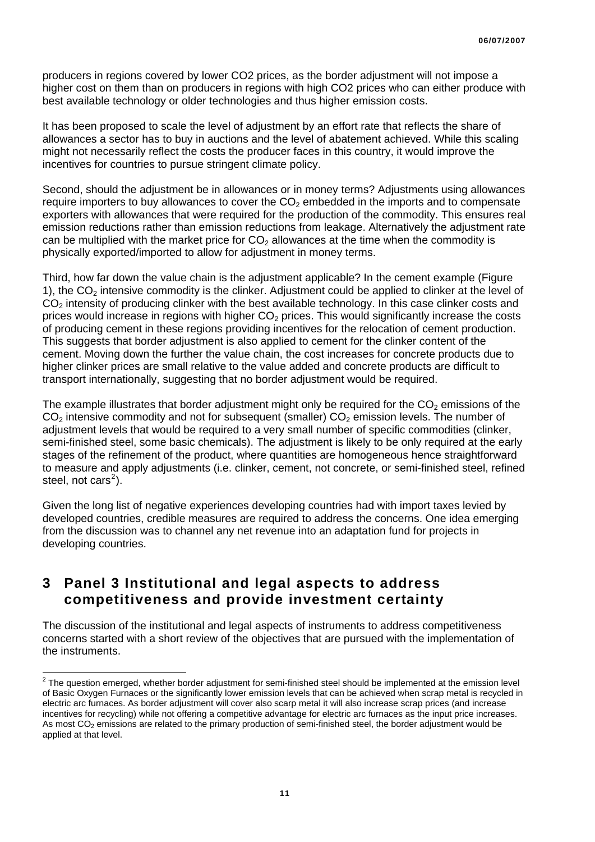producers in regions covered by lower CO2 prices, as the border adjustment will not impose a higher cost on them than on producers in regions with high CO2 prices who can either produce with best available technology or older technologies and thus higher emission costs.

It has been proposed to scale the level of adjustment by an effort rate that reflects the share of allowances a sector has to buy in auctions and the level of abatement achieved. While this scaling might not necessarily reflect the costs the producer faces in this country, it would improve the incentives for countries to pursue stringent climate policy.

Second, should the adjustment be in allowances or in money terms? Adjustments using allowances require importers to buy allowances to cover the  $CO<sub>2</sub>$  embedded in the imports and to compensate exporters with allowances that were required for the production of the commodity. This ensures real emission reductions rather than emission reductions from leakage. Alternatively the adjustment rate can be multiplied with the market price for  $CO<sub>2</sub>$  allowances at the time when the commodity is physically exported/imported to allow for adjustment in money terms.

Third, how far down the value chain is the adjustment applicable? In the cement example [\(Figure](#page-3-0)  [1\)](#page-3-0), the  $CO<sub>2</sub>$  intensive commodity is the clinker. Adjustment could be applied to clinker at the level of CO<sub>2</sub> intensity of producing clinker with the best available technology. In this case clinker costs and prices would increase in regions with higher  $CO<sub>2</sub>$  prices. This would significantly increase the costs of producing cement in these regions providing incentives for the relocation of cement production. This suggests that border adjustment is also applied to cement for the clinker content of the cement. Moving down the further the value chain, the cost increases for concrete products due to higher clinker prices are small relative to the value added and concrete products are difficult to transport internationally, suggesting that no border adjustment would be required.

The example illustrates that border adjustment might only be required for the  $CO<sub>2</sub>$  emissions of the  $CO<sub>2</sub>$  intensive commodity and not for subsequent (smaller)  $CO<sub>2</sub>$  emission levels. The number of adjustment levels that would be required to a very small number of specific commodities (clinker, semi-finished steel, some basic chemicals). The adjustment is likely to be only required at the early stages of the refinement of the product, where quantities are homogeneous hence straightforward to measure and apply adjustments (i.e. clinker, cement, not concrete, or semi-finished steel, refined steel, not cars<sup>[2](#page-10-0)</sup>).

Given the long list of negative experiences developing countries had with import taxes levied by developed countries, credible measures are required to address the concerns. One idea emerging from the discussion was to channel any net revenue into an adaptation fund for projects in developing countries.

## **3 Panel 3 Institutional and legal aspects to address competitiveness and provide investment certainty**

The discussion of the institutional and legal aspects of instruments to address competitiveness concerns started with a short review of the objectives that are pursued with the implementation of the instruments.

<span id="page-10-0"></span> 2 The question emerged, whether border adjustment for semi-finished steel should be implemented at the emission level of Basic Oxygen Furnaces or the significantly lower emission levels that can be achieved when scrap metal is recycled in electric arc furnaces. As border adjustment will cover also scarp metal it will also increase scrap prices (and increase incentives for recycling) while not offering a competitive advantage for electric arc furnaces as the input price increases. As most  $CO<sub>2</sub>$  emissions are related to the primary production of semi-finished steel, the border adjustment would be applied at that level.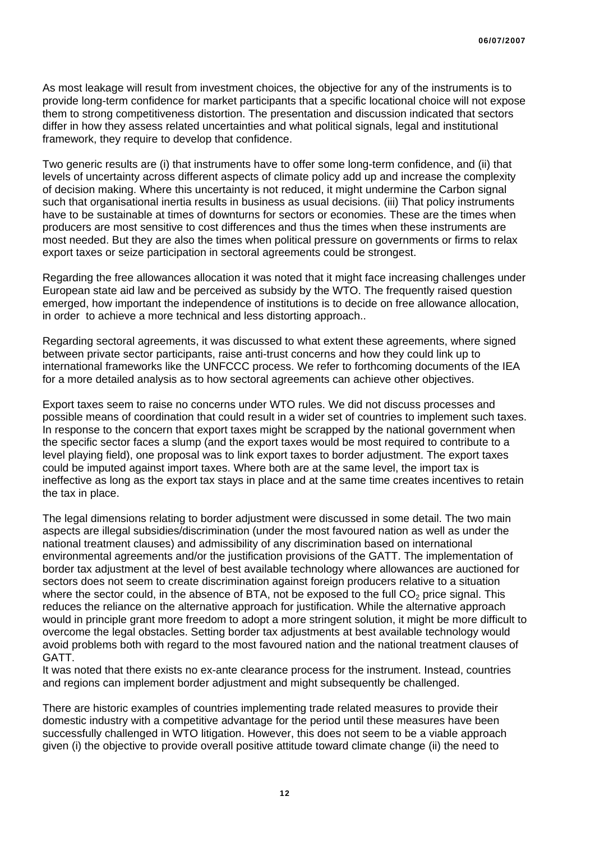As most leakage will result from investment choices, the objective for any of the instruments is to provide long-term confidence for market participants that a specific locational choice will not expose them to strong competitiveness distortion. The presentation and discussion indicated that sectors differ in how they assess related uncertainties and what political signals, legal and institutional framework, they require to develop that confidence.

Two generic results are (i) that instruments have to offer some long-term confidence, and (ii) that levels of uncertainty across different aspects of climate policy add up and increase the complexity of decision making. Where this uncertainty is not reduced, it might undermine the Carbon signal such that organisational inertia results in business as usual decisions. (iii) That policy instruments have to be sustainable at times of downturns for sectors or economies. These are the times when producers are most sensitive to cost differences and thus the times when these instruments are most needed. But they are also the times when political pressure on governments or firms to relax export taxes or seize participation in sectoral agreements could be strongest.

Regarding the free allowances allocation it was noted that it might face increasing challenges under European state aid law and be perceived as subsidy by the WTO. The frequently raised question emerged, how important the independence of institutions is to decide on free allowance allocation, in order to achieve a more technical and less distorting approach..

Regarding sectoral agreements, it was discussed to what extent these agreements, where signed between private sector participants, raise anti-trust concerns and how they could link up to international frameworks like the UNFCCC process. We refer to forthcoming documents of the IEA for a more detailed analysis as to how sectoral agreements can achieve other objectives.

Export taxes seem to raise no concerns under WTO rules. We did not discuss processes and possible means of coordination that could result in a wider set of countries to implement such taxes. In response to the concern that export taxes might be scrapped by the national government when the specific sector faces a slump (and the export taxes would be most required to contribute to a level playing field), one proposal was to link export taxes to border adjustment. The export taxes could be imputed against import taxes. Where both are at the same level, the import tax is ineffective as long as the export tax stays in place and at the same time creates incentives to retain the tax in place.

The legal dimensions relating to border adjustment were discussed in some detail. The two main aspects are illegal subsidies/discrimination (under the most favoured nation as well as under the national treatment clauses) and admissibility of any discrimination based on international environmental agreements and/or the justification provisions of the GATT. The implementation of border tax adjustment at the level of best available technology where allowances are auctioned for sectors does not seem to create discrimination against foreign producers relative to a situation where the sector could, in the absence of BTA, not be exposed to the full  $CO<sub>2</sub>$  price signal. This reduces the reliance on the alternative approach for justification. While the alternative approach would in principle grant more freedom to adopt a more stringent solution, it might be more difficult to overcome the legal obstacles. Setting border tax adjustments at best available technology would avoid problems both with regard to the most favoured nation and the national treatment clauses of GATT.

It was noted that there exists no ex-ante clearance process for the instrument. Instead, countries and regions can implement border adjustment and might subsequently be challenged.

There are historic examples of countries implementing trade related measures to provide their domestic industry with a competitive advantage for the period until these measures have been successfully challenged in WTO litigation. However, this does not seem to be a viable approach given (i) the objective to provide overall positive attitude toward climate change (ii) the need to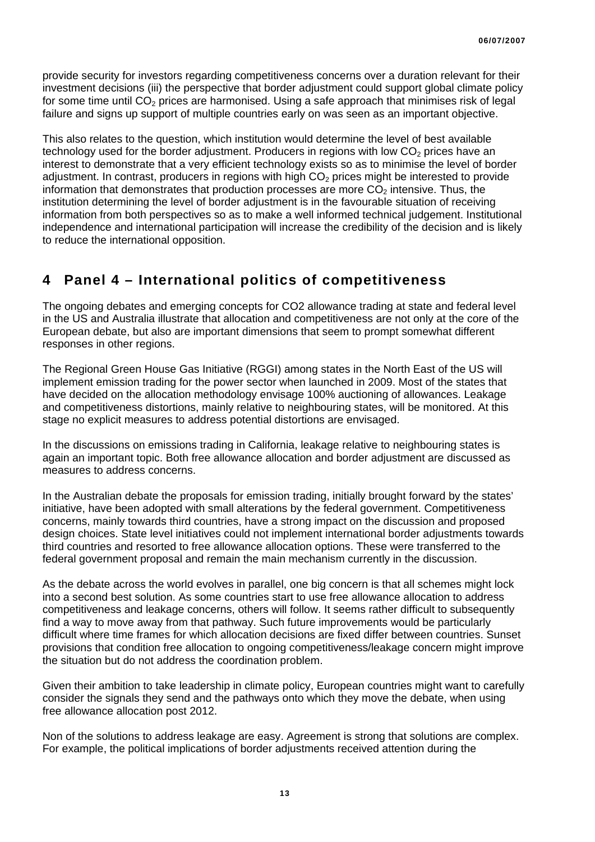provide security for investors regarding competitiveness concerns over a duration relevant for their investment decisions (iii) the perspective that border adjustment could support global climate policy for some time until  $CO<sub>2</sub>$  prices are harmonised. Using a safe approach that minimises risk of legal failure and signs up support of multiple countries early on was seen as an important objective.

This also relates to the question, which institution would determine the level of best available technology used for the border adjustment. Producers in regions with low  $CO<sub>2</sub>$  prices have an interest to demonstrate that a very efficient technology exists so as to minimise the level of border adjustment. In contrast, producers in regions with high  $CO<sub>2</sub>$  prices might be interested to provide information that demonstrates that production processes are more  $CO<sub>2</sub>$  intensive. Thus, the institution determining the level of border adjustment is in the favourable situation of receiving information from both perspectives so as to make a well informed technical judgement. Institutional independence and international participation will increase the credibility of the decision and is likely to reduce the international opposition.

# **4 Panel 4 – International politics of competitiveness**

The ongoing debates and emerging concepts for CO2 allowance trading at state and federal level in the US and Australia illustrate that allocation and competitiveness are not only at the core of the European debate, but also are important dimensions that seem to prompt somewhat different responses in other regions.

The Regional Green House Gas Initiative (RGGI) among states in the North East of the US will implement emission trading for the power sector when launched in 2009. Most of the states that have decided on the allocation methodology envisage 100% auctioning of allowances. Leakage and competitiveness distortions, mainly relative to neighbouring states, will be monitored. At this stage no explicit measures to address potential distortions are envisaged.

In the discussions on emissions trading in California, leakage relative to neighbouring states is again an important topic. Both free allowance allocation and border adjustment are discussed as measures to address concerns.

In the Australian debate the proposals for emission trading, initially brought forward by the states' initiative, have been adopted with small alterations by the federal government. Competitiveness concerns, mainly towards third countries, have a strong impact on the discussion and proposed design choices. State level initiatives could not implement international border adjustments towards third countries and resorted to free allowance allocation options. These were transferred to the federal government proposal and remain the main mechanism currently in the discussion.

As the debate across the world evolves in parallel, one big concern is that all schemes might lock into a second best solution. As some countries start to use free allowance allocation to address competitiveness and leakage concerns, others will follow. It seems rather difficult to subsequently find a way to move away from that pathway. Such future improvements would be particularly difficult where time frames for which allocation decisions are fixed differ between countries. Sunset provisions that condition free allocation to ongoing competitiveness/leakage concern might improve the situation but do not address the coordination problem.

Given their ambition to take leadership in climate policy, European countries might want to carefully consider the signals they send and the pathways onto which they move the debate, when using free allowance allocation post 2012.

Non of the solutions to address leakage are easy. Agreement is strong that solutions are complex. For example, the political implications of border adjustments received attention during the